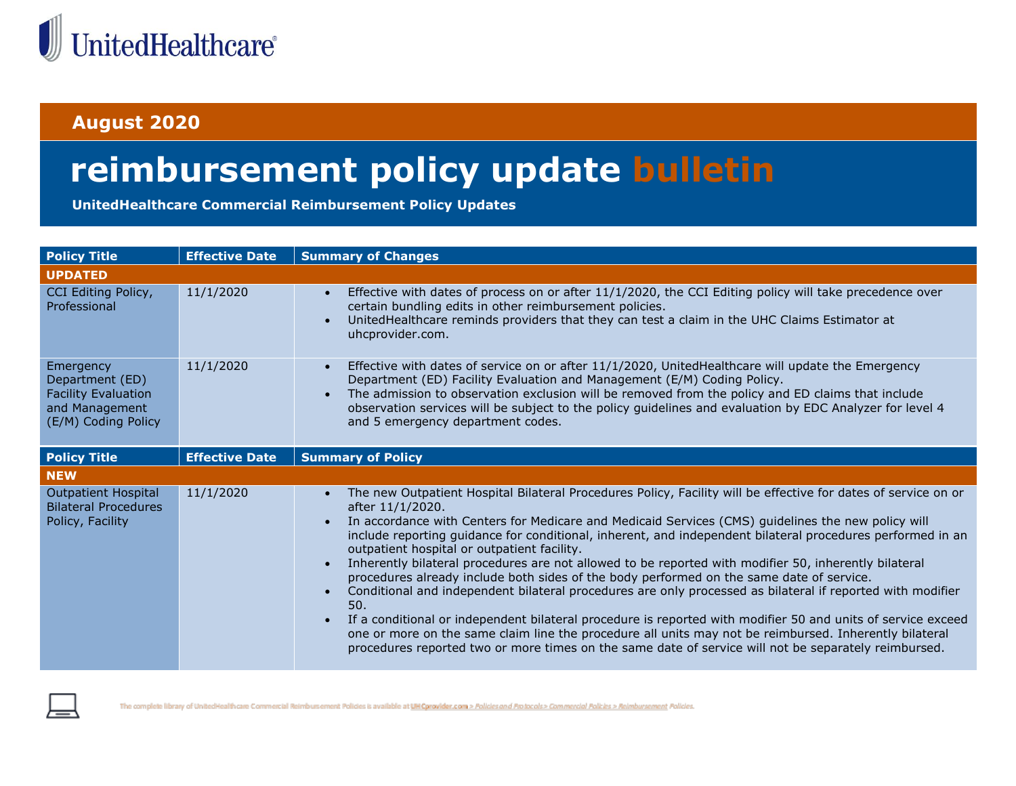

## **August 2020**

## **reimbursement policy update bulletin**

**UnitedHealthcare Commercial Reimbursement Policy Updates**

| <b>Policy Title</b>                                                                                 | <b>Effective Date</b> | <b>Summary of Changes</b>                                                                                                                                                                                                                                                                                                                                                                                                                                                                                                                                                                                                                                                                                                                                                                                                                                                                                                                                                                                                                                                      |
|-----------------------------------------------------------------------------------------------------|-----------------------|--------------------------------------------------------------------------------------------------------------------------------------------------------------------------------------------------------------------------------------------------------------------------------------------------------------------------------------------------------------------------------------------------------------------------------------------------------------------------------------------------------------------------------------------------------------------------------------------------------------------------------------------------------------------------------------------------------------------------------------------------------------------------------------------------------------------------------------------------------------------------------------------------------------------------------------------------------------------------------------------------------------------------------------------------------------------------------|
| <b>UPDATED</b>                                                                                      |                       |                                                                                                                                                                                                                                                                                                                                                                                                                                                                                                                                                                                                                                                                                                                                                                                                                                                                                                                                                                                                                                                                                |
| CCI Editing Policy,<br>Professional                                                                 | 11/1/2020             | Effective with dates of process on or after 11/1/2020, the CCI Editing policy will take precedence over<br>certain bundling edits in other reimbursement policies.<br>UnitedHealthcare reminds providers that they can test a claim in the UHC Claims Estimator at<br>uhcprovider.com.                                                                                                                                                                                                                                                                                                                                                                                                                                                                                                                                                                                                                                                                                                                                                                                         |
| Emergency<br>Department (ED)<br><b>Facility Evaluation</b><br>and Management<br>(E/M) Coding Policy | 11/1/2020             | Effective with dates of service on or after 11/1/2020, UnitedHealthcare will update the Emergency<br>Department (ED) Facility Evaluation and Management (E/M) Coding Policy.<br>The admission to observation exclusion will be removed from the policy and ED claims that include<br>observation services will be subject to the policy guidelines and evaluation by EDC Analyzer for level 4<br>and 5 emergency department codes.                                                                                                                                                                                                                                                                                                                                                                                                                                                                                                                                                                                                                                             |
| <b>Policy Title</b>                                                                                 | <b>Effective Date</b> | <b>Summary of Policy</b>                                                                                                                                                                                                                                                                                                                                                                                                                                                                                                                                                                                                                                                                                                                                                                                                                                                                                                                                                                                                                                                       |
| <b>NEW</b>                                                                                          |                       |                                                                                                                                                                                                                                                                                                                                                                                                                                                                                                                                                                                                                                                                                                                                                                                                                                                                                                                                                                                                                                                                                |
| <b>Outpatient Hospital</b><br><b>Bilateral Procedures</b><br>Policy, Facility                       | 11/1/2020             | The new Outpatient Hospital Bilateral Procedures Policy, Facility will be effective for dates of service on or<br>$\bullet$<br>after 11/1/2020.<br>In accordance with Centers for Medicare and Medicaid Services (CMS) guidelines the new policy will<br>include reporting guidance for conditional, inherent, and independent bilateral procedures performed in an<br>outpatient hospital or outpatient facility.<br>Inherently bilateral procedures are not allowed to be reported with modifier 50, inherently bilateral<br>procedures already include both sides of the body performed on the same date of service.<br>Conditional and independent bilateral procedures are only processed as bilateral if reported with modifier<br>50.<br>If a conditional or independent bilateral procedure is reported with modifier 50 and units of service exceed<br>one or more on the same claim line the procedure all units may not be reimbursed. Inherently bilateral<br>procedures reported two or more times on the same date of service will not be separately reimbursed. |



The complete library of UnitedHealthcare Commercial Reimbursement Policies is available at UH Cprovider.com > Policies and Protocols > Commercial Policies > Reimbursement Policies.